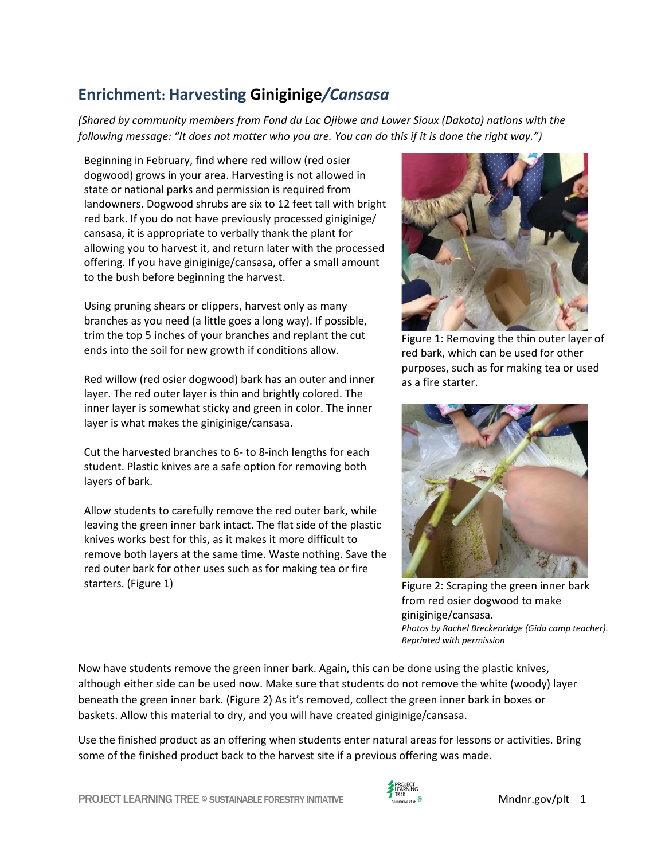## **Enrichment: Harvesting Giniginige***/Cansasa*

*(Shared by community members from Fond du Lac Ojibwe and Lower Sioux (Dakota) nations with the following message: "It does not matter who you are. You can do this if it is done the right way.")*

Beginning in February, find where red willow (red osier dogwood) grows in your area. Harvesting is not allowed in state or national parks and permission is required from landowners. Dogwood shrubs are six to 12 feet tall with bright red bark. If you do not have previously processed giniginige/ cansasa, it is appropriate to verbally thank the plant for allowing you to harvest it, and return later with the processed offering. If you have giniginige/cansasa, offer a small amount to the bush before beginning the harvest.

Using pruning shears or clippers, harvest only as many branches as you need (a little goes a long way). If possible, trim the top 5 inches of your branches and replant the cut ends into the soil for new growth if conditions allow.

Red willow (red osier dogwood) bark has an outer and inner layer. The red outer layer is thin and brightly colored. The inner layer is somewhat sticky and green in color. The inner layer is what makes the giniginige/cansasa.

Cut the harvested branches to 6- to 8-inch lengths for each student. Plastic knives are a safe option for removing both layers of bark.

Allow students to carefully remove the red outer bark, while leaving the green inner bark intact. The flat side of the plastic knives works best for this, as it makes it more difficult to remove both layers at the same time. Waste nothing. Save the red outer bark for other uses such as for making tea or fire starters. (Figure 1)



Figure 1: Removing the thin outer layer of red bark, which can be used for other purposes, such as for making tea or used as a fire starter.



Figure 2: Scraping the green inner bark from red osier dogwood to make giniginige/cansasa. *Photos by Rachel Breckenridge (Gida camp teacher). Reprinted with permission* 

Now have students remove the green inner bark. Again, this can be done using the plastic knives, although either side can be used now. Make sure that students do not remove the white (woody) layer beneath the green inner bark. (Figure 2) As it's removed, collect the green inner bark in boxes or baskets. Allow this material to dry, and you will have created giniginige/cansasa.

Use the finished product as an offering when students enter natural areas for lessons or activities. Bring some of the finished product back to the harvest site if a previous offering was made.